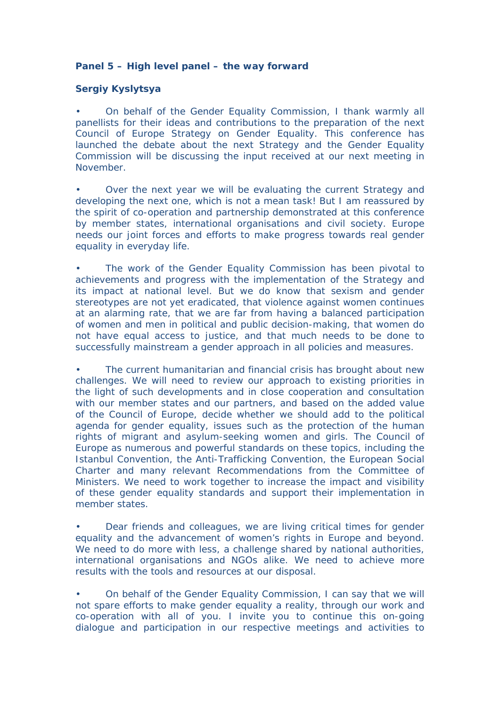**Panel 5 – High level panel – the way forward**

**Sergiy Kyslytsya**

• On behalf of the Gender Equality Commission, I thank warmly all panellists for their ideas and contributions to the preparation of the next Council of Europe Strategy on Gender Equality. This conference has launched the debate about the next Strategy and the Gender Equality Commission will be discussing the input received at our next meeting in November.

• Over the next year we will be evaluating the current Strategy and developing the next one, which is not a mean task! But I am reassured by the spirit of co-operation and partnership demonstrated at this conference by member states, international organisations and civil society. Europe needs our joint forces and efforts to make progress towards real gender equality in everyday life.

The work of the Gender Equality Commission has been pivotal to achievements and progress with the implementation of the Strategy and its impact at national level. But we do know that sexism and gender stereotypes are not yet eradicated, that violence against women continues at an alarming rate, that we are far from having a balanced participation of women and men in political and public decision-making, that women do not have equal access to justice, and that much needs to be done to successfully mainstream a gender approach in all policies and measures.

The current humanitarian and financial crisis has brought about new challenges. We will need to review our approach to existing priorities in the light of such developments and in close cooperation and consultation with our member states and our partners, and based on the added value of the Council of Europe, decide whether we should add to the political agenda for gender equality, issues such as the protection of the human rights of migrant and asylum-seeking women and girls. The Council of Europe as numerous and powerful standards on these topics, including the Istanbul Convention, the Anti-Trafficking Convention, the European Social Charter and many relevant Recommendations from the Committee of Ministers. We need to work together to increase the impact and visibility of these gender equality standards and support their implementation in member states.

• Dear friends and colleagues, we are living critical times for gender equality and the advancement of women's rights in Europe and beyond. We need to do more with less, a challenge shared by national authorities, international organisations and NGOs alike. We need to achieve more results with the tools and resources at our disposal.

• On behalf of the Gender Equality Commission, I can say that we will not spare efforts to make gender equality a reality, through our work and co-operation with all of you. I invite you to continue this on-going dialogue and participation in our respective meetings and activities to